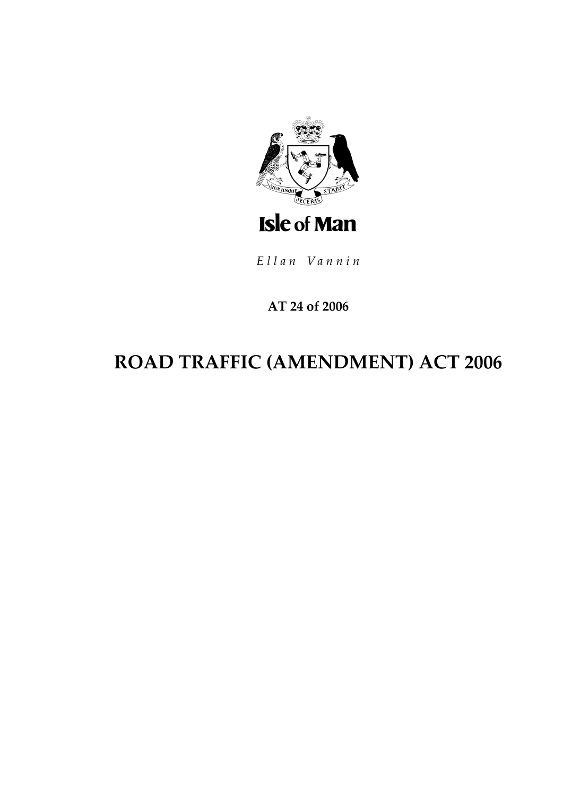

Ellan Vannin

## AT 24 of 2006

# ROAD TRAFFIC (AMENDMENT) ACT 2006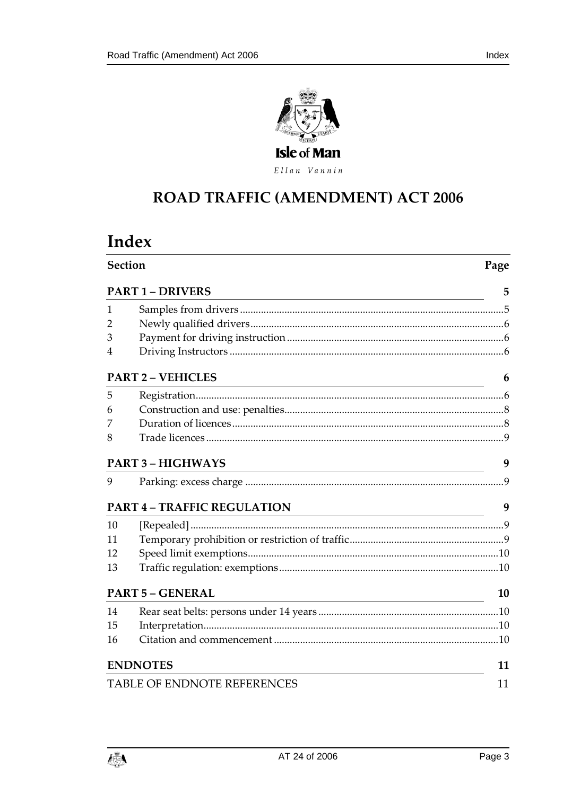



Ellan Vannin

## ROAD TRAFFIC (AMENDMENT) ACT 2006

## Index

| <b>Section</b><br><b>PART 1 - DRIVERS</b> |                                                                                                                                                  | Page           |
|-------------------------------------------|--------------------------------------------------------------------------------------------------------------------------------------------------|----------------|
|                                           |                                                                                                                                                  | 5              |
| 1                                         |                                                                                                                                                  |                |
| 2                                         |                                                                                                                                                  |                |
| 3                                         |                                                                                                                                                  |                |
| 4                                         |                                                                                                                                                  |                |
|                                           | <b>PART 2 - VEHICLES</b><br><u> 1980 - Johann Barn, mars ann an t-Amhain Aonaich an t-Aonaich an t-Aonaich ann an t-Aonaich ann an t-Aonaich</u> | 6              |
| 5                                         |                                                                                                                                                  |                |
| 6                                         |                                                                                                                                                  |                |
| 7                                         |                                                                                                                                                  |                |
| 8                                         |                                                                                                                                                  |                |
| <b>PART 3 - HIGHWAYS</b>                  |                                                                                                                                                  | 9              |
| 9                                         |                                                                                                                                                  | $\overline{9}$ |
|                                           | <b>PART 4 - TRAFFIC REGULATION</b><br><u> 1989 - Johann Stoff, fransk politik (d. 1989)</u>                                                      | 9              |
| 10                                        |                                                                                                                                                  |                |
| 11                                        |                                                                                                                                                  |                |
| 12                                        |                                                                                                                                                  |                |
| 13                                        |                                                                                                                                                  |                |
| <b>PART 5 - GENERAL</b>                   |                                                                                                                                                  | 10             |
| 14                                        |                                                                                                                                                  |                |
| 15                                        |                                                                                                                                                  |                |
| 16                                        |                                                                                                                                                  |                |
| <b>ENDNOTES</b>                           | 11                                                                                                                                               |                |
| TABLE OF ENDNOTE REFERENCES               |                                                                                                                                                  | 11             |

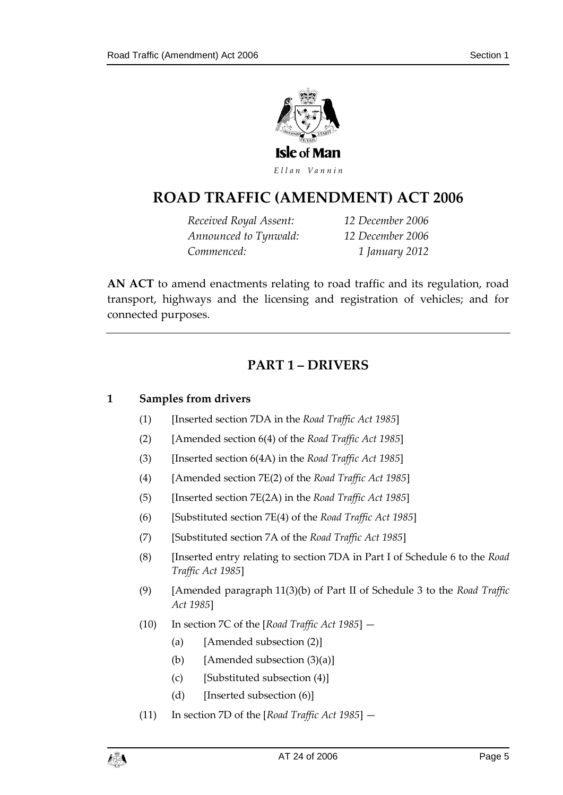

Ellan Vannin

## **ROAD TRAFFIC (AMENDM ENT) ACT 2006**

*Received Royal Assent: 12 December 2006 Announced to Tynwald: 12 December 2006 Commenced: 1 January 2012*

**AN ACT** to amend enactments relating to road traffic and its regulation, road transport, highways and the licensing and registration of vehicles; and for connected purposes.

### **PART 1 – DRIVERS**

#### <span id="page-4-1"></span><span id="page-4-0"></span>**1 Samples from drivers**

- (1) [Inserted section 7DA in the *Road Traffic Act 1985*]
- (2) [Amended section 6(4) of the *Road Traffic Act 1985*]
- (3) [Inserted section 6(4A) in the *Road Traffic Act 1985*]
- (4) [Amended section 7E(2) of the *Road Traffic Act 1985*]
- (5) [Inserted section 7E(2A) in the *Road Traffic Act 1985*]
- (6) [Substituted section 7E(4) of the *Road Traffic Act 1985*]
- (7) [Substituted section 7A of the *Road Traffic Act 1985*]
- (8) [Inserted entry relating to section 7DA in Part I of Schedule 6 to the *Road Traffic Act 1985*]
- (9) [Amended paragraph 11(3)(b) of Part II of Schedule 3 to the *Road Traffic Act 1985*]
- (10) In section 7C of the [*Road Traffic Act 1985*]
	- (a) [Amended subsection (2)]
	- (b) [Amended subsection  $(3)(a)$ ]
	- (c) [Substituted subsection (4)]
	- (d) [Inserted subsection (6)]
- (11) In section 7D of the [*Road Traffic Act 1985*] —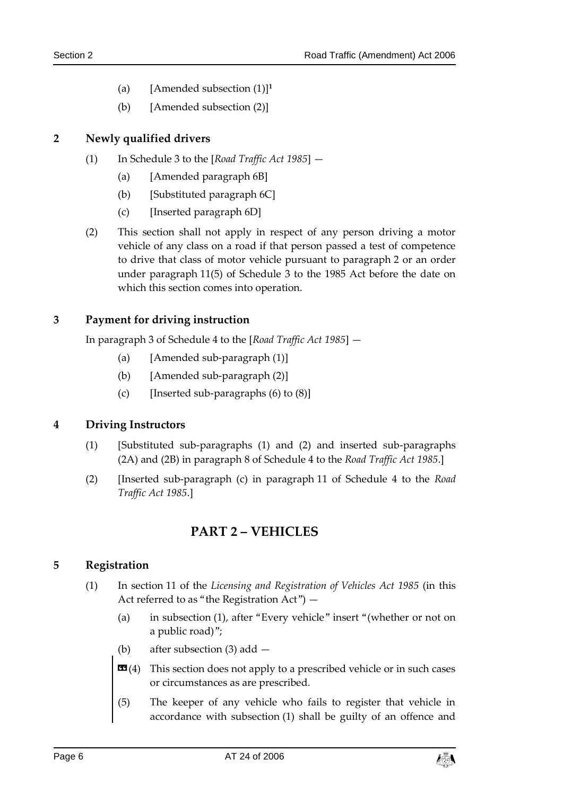- (a) [Amended subsection (1)]**<sup>1</sup>**
- (b) [Amended subsection (2)]

#### <span id="page-5-0"></span>**2 Newly qualified drivers**

- (1) In Schedule 3 to the [*Road Traffic Act 1985*]
	- (a) [Amended paragraph 6B]
	- (b) [Substituted paragraph 6C]
	- (c) [Inserted paragraph 6D]
- (2) This section shall not apply in respect of any person driving a motor vehicle of any class on a road if that person passed a test of competence to drive that class of motor vehicle pursuant to paragraph 2 or an order under paragraph 11(5) of Schedule 3 to the 1985 Act before the date on which this section comes into operation.

#### <span id="page-5-1"></span>**3 Payment for driving instruction**

In paragraph 3 of Schedule 4 to the [*Road Traffic Act 1985*] —

- (a) [Amended sub-paragraph (1)]
- (b) [Amended sub-paragraph (2)]
- (c) [Inserted sub-paragraphs  $(6)$  to  $(8)$ ]

#### <span id="page-5-2"></span>**4 Driving Instructors**

- (1) [Substituted sub-paragraphs (1) and (2) and inserted sub-paragraphs (2A) and (2B) in paragraph 8 of Schedule 4 to the *Road Traffic Act 1985*.]
- <span id="page-5-3"></span>(2) [Inserted sub-paragraph (c) in paragraph 11 of Schedule 4 to the *Road Traffic Act 1985*.]

### **PART 2 – VEHICLES**

#### <span id="page-5-4"></span>**5 Registration**

- (1) In section 11 of the *Licensing and Registration of Vehicles Act 1985* (in this Act referred to as "the Registration Act") —
	- (a) in subsection (1), after "Every vehicle" insert "(whether or not on a public road)";
	- (b) after subsection (3) add —
	- **This section does not apply to a prescribed vehicle or in such cases** or circumstances as are prescribed.
	- (5) The keeper of any vehicle who fails to register that vehicle in accordance with subsection (1) shall be guilty of an offence and

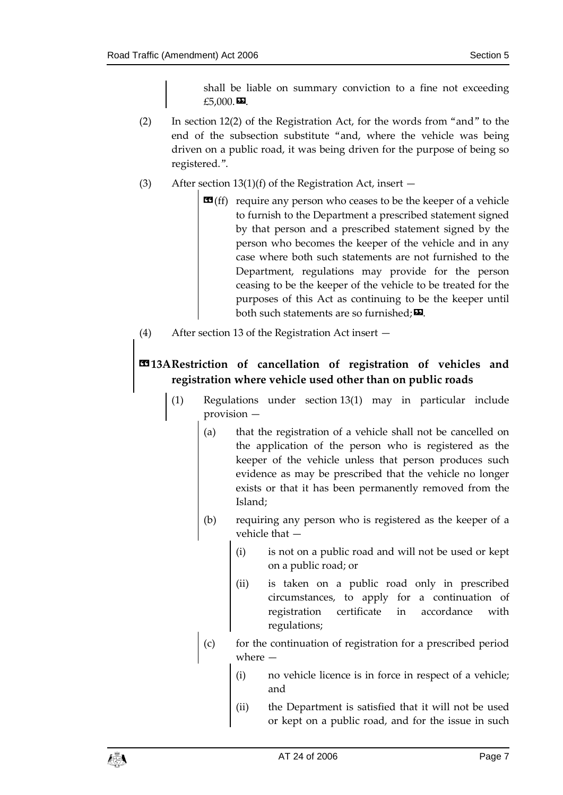shall be liable on summary conviction to a fine not exceeding £5,000. $\boldsymbol{\Xi}$ .

- (2) In section 12(2) of the Registration Act, for the words from "and" to the end of the subsection substitute "and, where the vehicle was being driven on a public road, it was being driven for the purpose of being so registered.".
- (3) After section  $13(1)(f)$  of the Registration Act, insert  $-$ 
	- $\mathbf{G}(ff)$  require any person who ceases to be the keeper of a vehicle to furnish to the Department a prescribed statement signed by that person and a prescribed statement signed by the person who becomes the keeper of the vehicle and in any case where both such statements are not furnished to the Department, regulations may provide for the person ceasing to be the keeper of the vehicle to be treated for the purposes of this Act as continuing to be the keeper until both such statements are so furnished;  $\Sigma$ .
- (4) After section 13 of the Registration Act insert —

## **«13ARestriction of cancellation of registration of vehicles and registration where vehicle used other than on public roads**

- (1) Regulations under section 13(1) may in particular include provision —
	- (a) that the registration of a vehicle shall not be cancelled on the application of the person who is registered as the keeper of the vehicle unless that person produces such evidence as may be prescribed that the vehicle no longer exists or that it has been permanently removed from the Island;
	- (b) requiring any person who is registered as the keeper of a vehicle that —
		- (i) is not on a public road and will not be used or kept on a public road; or
		- (ii) is taken on a public road only in prescribed circumstances, to apply for a continuation of registration certificate in accordance with regulations;
	- (c) for the continuation of registration for a prescribed period where
		- no vehicle licence is in force in respect of a vehicle; and
		- (ii) the Department is satisfied that it will not be used or kept on a public road, and for the issue in such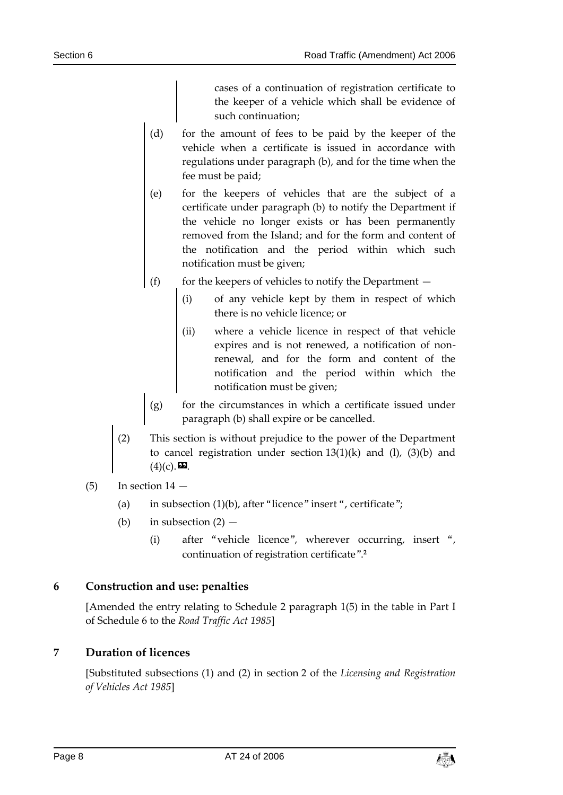cases of a continuation of registration certificate to the keeper of a vehicle which shall be evidence of such continuation;

- (d) for the amount of fees to be paid by the keeper of the vehicle when a certificate is issued in accordance with regulations under paragraph (b), and for the time when the fee must be paid;
- (e) for the keepers of vehicles that are the subject of a certificate under paragraph (b) to notify the Department if the vehicle no longer exists or has been permanently removed from the Island; and for the form and content of the notification and the period within which such notification must be given;
- (f) for the keepers of vehicles to notify the Department  $-$ 
	- (i) of any vehicle kept by them in respect of which there is no vehicle licence; or
	- (ii) where a vehicle licence in respect of that vehicle expires and is not renewed, a notification of nonrenewal, and for the form and content of the notification and the period within which the notification must be given;
- (g) for the circumstances in which a certificate issued under paragraph (b) shall expire or be cancelled.
- (2) This section is without prejudice to the power of the Department to cancel registration under section  $13(1)(k)$  and  $(l)$ ,  $(3)(b)$  and  $(4)(c)$ .  $\mathbf{\mathbf{\Sigma}}$ .
- $(5)$  In section  $14$ 
	- (a) in subsection  $(1)(b)$ , after "licence" insert ", certificate";
	- (b) in subsection  $(2)$ 
		- (i) after "vehicle licence", wherever occurring, insert ", continuation of registration certificate". **2**

#### <span id="page-7-0"></span>**6 Construction and use: penalties**

[Amended the entry relating to Schedule 2 paragraph 1(5) in the table in Part I of Schedule 6 to the *Road Traffic Act 1985*]

#### <span id="page-7-1"></span>**7 Duration of licences**

[Substituted subsections (1) and (2) in section 2 of the *Licensing and Registration of Vehicles Act 1985*]

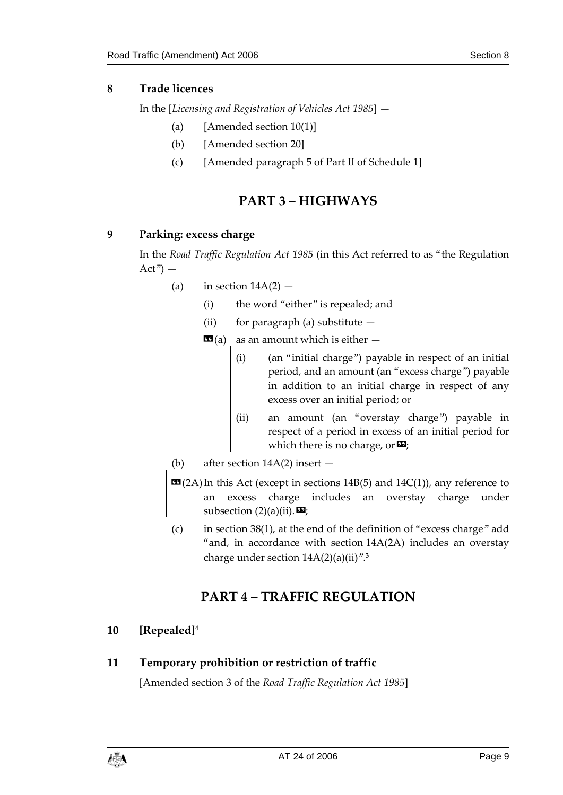#### <span id="page-8-0"></span>**8 Trade licences**

In the [*Licensing and Registration of Vehicles Act 1985*] —

- (a) [Amended section  $10(1)$ ]
- (b) [Amended section 20]
- (c) [Amended paragraph 5 of Part II of Schedule 1]

## **PART 3 – HIGHWAYS**

#### <span id="page-8-2"></span><span id="page-8-1"></span>**9 Parking: excess charge**

In the *Road Traffic Regulation Act 1985* (in this Act referred to as "the Regulation  $Act") -$ 

- (a) in section  $14A(2)$ 
	- (i) the word "either" is repealed; and
	- (ii) for paragraph (a) substitute  $-$

 $\mathbf{G}(a)$  as an amount which is either  $-$ 

- (i) (an "initial charge") payable in respect of an initial period, and an amount (an "excess charge") payable in addition to an initial charge in respect of any excess over an initial period; or
- (ii) an amount (an "overstay charge") payable in respect of a period in excess of an initial period for which there is no charge, or  $\mathbf{E}$ ;
- (b) after section 14A(2) insert —
- $\mathbf{C}(2A)$  In this Act (except in sections 14B(5) and 14C(1)), any reference to an excess charge includes an overstay charge under subsection  $(2)(a)(ii)$ .
- (c) in section 38(1), at the end of the definition of "excess charge" add "and, in accordance with section 14A(2A) includes an overstay charge under section 14A(2)(a)(ii)". **3**

## **PART 4 – TRAFFIC REGULATION**

#### <span id="page-8-4"></span><span id="page-8-3"></span>**10 [Repealed]**<sup>4</sup>

#### <span id="page-8-5"></span>**11 Temporary prohibition or restriction of traffic**

[Amended section 3 of the *Road Traffic Regulation Act 1985*]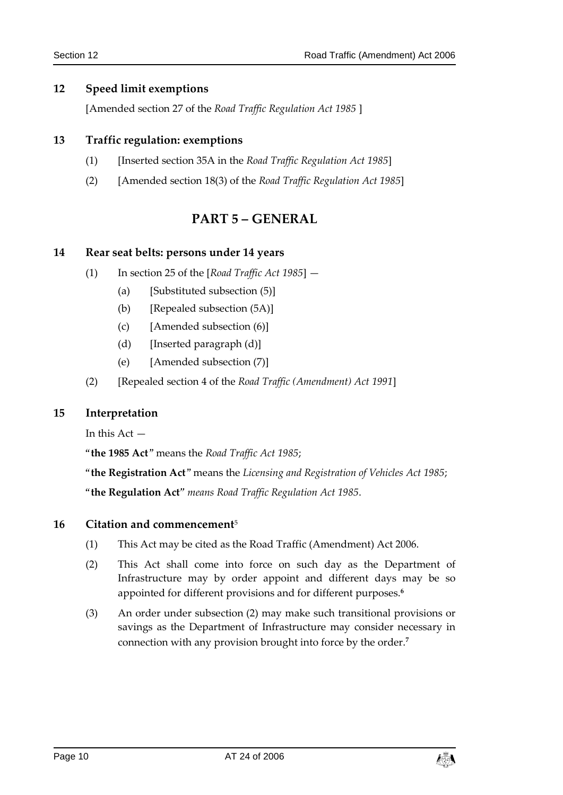#### <span id="page-9-0"></span>**12 Speed limit exemptions**

[Amended section 27 of the *Road Traffic Regulation Act 1985* ]

#### <span id="page-9-1"></span>**13 Traffic regulation: exemptions**

- (1) [Inserted section 35A in the *Road Traffic Regulation Act 1985*]
- <span id="page-9-2"></span>(2) [Amended section 18(3) of the *Road Traffic Regulation Act 1985*]

#### **PART 5 – GENERAL**

#### <span id="page-9-3"></span>**14 Rear seat belts: persons under 14 years**

- (1) In section 25 of the [*Road Traffic Act 1985*]
	- (a) [Substituted subsection (5)]
	- (b) [Repealed subsection (5A)]
	- (c) [Amended subsection (6)]
	- (d) [Inserted paragraph (d)]
	- (e) [Amended subsection (7)]
- (2) [Repealed section 4 of the *Road Traffic (Amendment) Act 1991*]

#### <span id="page-9-4"></span>**15 Interpretation**

In this  $Act -$ 

"**the 1985 Act**" means the *Road Traffic Act 1985*;

"**the Registration Act**" means the *Licensing and Registration of Vehicles Act 1985*; "**the Regulation Act***" means Road Traffic Regulation Act 1985*.

#### <span id="page-9-5"></span>**16 Citation and commencement**<sup>5</sup>

- (1) This Act may be cited as the Road Traffic (Amendment) Act 2006.
- (2) This Act shall come into force on such day as the Department of Infrastructure may by order appoint and different days may be so appointed for different provisions and for different purposes.**<sup>6</sup>**
- (3) An order under subsection (2) may make such transitional provisions or savings as the Department of Infrastructure may consider necessary in connection with any provision brought into force by the order.**7**